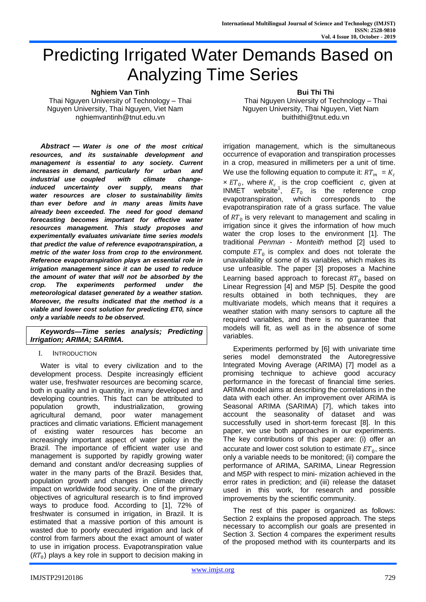# Predicting Irrigated Water Demands Based on Analyzing Time Series

**Nghiem Van Tinh**

Thai Nguyen University of Technology – Thai Nguyen University, Thai Nguyen, Viet Nam nghiemvantinh@tnut.edu.vn

*Abstract* **—** *Water is one of the most critical resources, and its sustainable development and management is essential to any society. Current increases in demand, particularly for urban and industrial use coupled with climate changeinduced uncertainty over supply, means that water resources are closer to sustainability limits than ever before and in many areas limits have already been exceeded. The need for good demand forecasting becomes important for effective water resources management. This study proposes and experimentally evaluates univariate time series models that predict the value of reference evapotranspiration, a metric of the water loss from crop to the environment. Reference evapotranspiration plays an essential role in irrigation management since it can be used to reduce the amount of water that will not be absorbed by the crop. The experiments performed under the meteorological dataset generated by a weather station. Moreover, the results indicated that the method is a viable and lower cost solution for predicting ET0, since only a variable needs to be observed.*

*Keywords—Time series analysis; Predicting Irrigation; ARIMA; SARIMA.*

I. INTRODUCTION

Water is vital to every civilization and to the development process. Despite increasingly efficient water use, freshwater resources are becoming scarce, both in quality and in quantity, in many developed and developing countries. This fact can be attributed to population growth, industrialization, growing agricultural demand, poor water management practices and climatic variations. Efficient management of existing water resources has become an increasingly important aspect of water policy in the Brazil. The importance of efficient water use and management is supported by rapidly growing water demand and constant and/or decreasing supplies of water in the many parts of the Brazil. Besides that, population growth and changes in climate directly impact on worldwide food security. One of the primary objectives of agricultural research is to find improved ways to produce food. According to [1], 72% of freshwater is consumed in irrigation, in Brazil. It is estimated that a massive portion of this amount is wasted due to poorly executed irrigation and lack of control from farmers about the exact amount of water to use in irrigation process. Evapotranspiration value  $(RT_0)$  plays a key role in support to decision making in **Bui Thi Thi**

Thai Nguyen University of Technology – Thai Nguyen University, Thai Nguyen, Viet Nam buithithi@tnut.edu.vn

irrigation management, which is the simultaneous occurrence of evaporation and transpiration processes in a crop, measured in millimeters per a unit of time. We use the following equation to compute it:  $RT_m = K_c$  $\times ET_0$ , where  $K_{c_A}$  is the crop coefficient *c*, given at INMET website<sup>1</sup>,  $ET_0$  is the reference crop evapotranspiration, which corresponds to the evapotranspiration rate of a grass surface. The value of  $RT_{0}$  is very relevant to management and scaling in irrigation since it gives the information of how much water the crop loses to the environment [1]. The traditional *Penman - Monteith* method [2] used to compute  $ET_0$  is complex and does not tolerate the unavailability of some of its variables, which makes its use unfeasible. The paper [3] proposes a Machine Learning based approach to forecast  $RT_0$  based on Linear Regression [4] and M5P [5]. Despite the good results obtained in both techniques, they are multivariate models, which means that it requires a weather station with many sensors to capture all the required variables, and there is no guarantee that models will fit, as well as in the absence of some variables.

Experiments performed by [6] with univariate time series model demonstrated the Autoregressive Integrated Moving Average (ARIMA) [7] model as a promising technique to achieve good accuracy performance in the forecast of financial time series. ARIMA model aims at describing the correlations in the data with each other. An improvement over ARIMA is Seasonal ARIMA (SARIMA) [7], which takes into account the seasonality of dataset and was successfully used in short-term forecast [8]. In this paper, we use both approaches in our experiments. The key contributions of this paper are: (i) offer an accurate and lower cost solution to estimate  $ET_0$ , since only a variable needs to be monitored; (ii) compare the performance of ARIMA, SARIMA, Linear Regression and M5P with respect to mini- mization achieved in the error rates in prediction; and (iii) release the dataset used in this work, for research and possible improvements by the scientific community.

The rest of this paper is organized as follows: Section 2 explains the proposed approach. The steps necessary to accomplish our goals are presented in Section 3. Section 4 compares the experiment results of the proposed method with its counterparts and its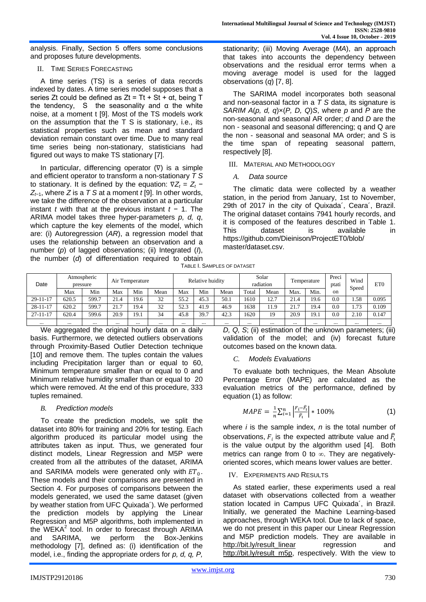analysis. Finally, Section 5 offers some conclusions and proposes future developments.

#### II. TIME SERIES FORECASTING

A time series (TS) is a series of data records indexed by dates. A time series model supposes that a series Zt could be defined as  $Zt = Tt + St + \alpha t$ , being T the tendency, S the seasonality and  $α$  the white noise, at a moment t [9]. Most of the TS models work on the assumption that the T S is stationary, i.e., its statistical properties such as mean and standard deviation remain constant over time. Due to many real time series being non-stationary, statisticians had figured out ways to make TS stationary [7].

In particular, differencing operator (∇) is a simple and efficient operator to transform a non-stationary *T S*  to stationary. It is defined by the equation:  $\nabla Z_t = Z_t - U_t$ *Z<sup>t</sup>*−1, where *Z* is a *T S* at a moment *t* [9]. In other words, we take the difference of the observation at a particular instant *t* with that at the previous instant *t* − 1. The ARIMA model takes three hyper-parameters *p, d, q*, which capture the key elements of the model, which are: (i) Autoregression (*AR*), a regression model that uses the relationship between an observation and a number (*p*) of lagged observations; (ii) Integrated (*I*), the number (*d*) of differentiation required to obtain stationarity; (iii) Moving Average (*MA*), an approach that takes into accounts the dependency between observations and the residual error terms when a moving average model is used for the lagged observations (*q*) [7, 8].

The SARIMA model incorporates both seasonal and non-seasonal factor in a *T S* data, its signature is *SARIM A*(*p, d, q*)×(*P, D, Q*)*S*, where *p* and *P* are the non-seasonal and seasonal AR order; *d* and *D* are the non - seasonal and seasonal differencing; q and Q are the non - seasonal and seasonal MA order; and S is the time span of repeating seasonal pattern, respectively [8].

## III. MATERIAL AND METHODOLOGY

## *A. Data source*

The climatic data were collected by a weather station, in the period from January, 1st to November, 29th of 2017 in the city of Quixada´, Ceara´, Brazil. The original dataset contains 7941 hourly records, and it is composed of the features described in Table 1. This dataset is available in https://github.com/Dieinison/ProjectET0/blob/ master/dataset.csv.

TABLE I. SAMPLES OF DATASET

| Date           | Atmospheric<br>pressure |       | Air Temperature |          | Relative huidity |          | Solar<br>radiation |          | <b>F</b> emperature |      | Preci<br>ptati | Wind<br>Speed | ET <sub>0</sub> |      |       |
|----------------|-------------------------|-------|-----------------|----------|------------------|----------|--------------------|----------|---------------------|------|----------------|---------------|-----------------|------|-------|
|                | Max                     | Min   | Max             | Min      | Mean             | Max      | Min                | Mean     | Total               | Mean | Max.           | Min.          | on              |      |       |
| $29 - 11 - 17$ | 620.5                   | 599.7 | 21.4            | 19.6     | 32               | 55.2     | 45.3               | 50.      | 610                 | 12.7 | 21.4           | 19.6          | 0.0             | 1.58 | 0.095 |
| $28 - 11 - 17$ | 620.2                   | 599.7 | 21.7            | 19.4     | 32               | 52.3     | 41.9               | 46.9     | 638                 | 11.9 | $^{\sim}$      | 19.4          | 0.0             | 1.73 | 0.109 |
| $27 - 11 - 17$ | 620.4                   | 599.6 | 20.9            | 19.1     | 34               | 45.8     | 39.7               | 42.3     | 620                 | 19   | 20.9           | 19.1          | 0.0             | 2.10 | 0.147 |
| $\cdots$       | $\cdots$                |       |                 | $\cdots$ | $\cdots$         | $\cdots$ |                    | $\cdots$ |                     |      | $\cdots$       |               |                 |      |       |

We aggregated the original hourly data on a daily basis. Furthermore, we detected outliers observations through Proximity-Based Outlier Detection technique [10] and remove them. The tuples contain the values including Precipitation larger than or equal to 60, Minimum temperature smaller than or equal to 0 and Minimum relative humidity smaller than or equal to 20 which were removed. At the end of this procedure, 333 tuples remained.

## *B. Prediction models*

To create the prediction models, we split the dataset into 80% for training and 20% for testing. Each algorithm produced its particular model using the attributes taken as input. Thus, we generated four distinct models, Linear Regression and M5P were created from all the attributes of the dataset, ARIMA and SARIMA models were generated only with  $ET_0$ . These models and their comparisons are presented in Section 4. For purposes of comparisons between the models generated, we used the same dataset (given by weather station from UFC Quixada´). We performed the prediction models by applying the Linear Regression and M5P algorithms, both implemented in the  $WEKA<sup>2</sup>$  tool. In order to forecast through ARIMA and SARIMA, we perform the Box-Jenkins methodology [7], defined as: (i) identification of the model, i.e., finding the appropriate orders for *p, d, q, P,* 

*D, Q, S*; (ii) estimation of the unknown parameters; (iii) validation of the model; and (iv) forecast future outcomes based on the known data.

## *C. Models Evaluations*

To evaluate both techniques, the Mean Absolute Percentage Error (MAPE) are calculated as the evaluation metrics of the performance, defined by equation (1) as follow:

$$
MAPE = \frac{1}{n} \sum_{i=1}^{n} \left| \frac{F_i - \hat{F}_i}{\hat{F}_i} \right| * 100\% \tag{1}
$$

where *i* is the sample index, *n* is the total number of observations,  $F_i$  is the expected attribute value and  $\widehat{F}_i$ is the value output by the algorithm used [4]. Both metrics can range from 0 to  $\infty$ . They are negativelyoriented scores, which means lower values are better.

#### IV. EXPERIMENTS AND RESULTS

As stated earlier, these experiments used a real dataset with observations collected from a weather station located in Campus UFC Quixada´, in Brazil. Initially, we generated the Machine Learning-based approaches, through WEKA tool. Due to lack of space, we do not present in this paper our Linear Regression and M5P prediction models. They are available in [http://bit.ly/result\\_linear](http://bit.ly/result_linear) regression and [http://bit.ly/result\\_m5p,](http://bit.ly/result_m5p) respectively. With the view to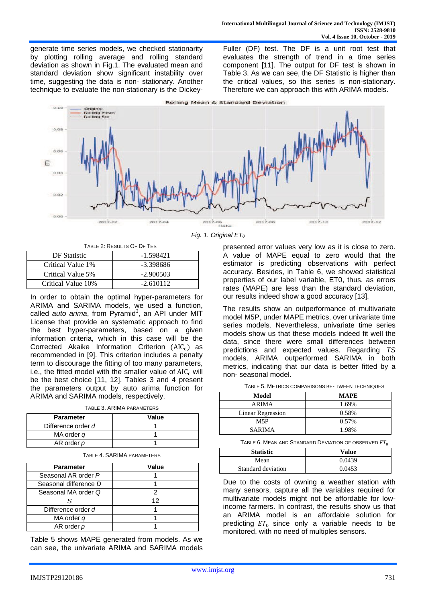generate time series models, we checked stationarity by plotting rolling average and rolling standard deviation as shown in Fig.1. The evaluated mean and standard deviation show significant instability over time, suggesting the data is non- stationary. Another technique to evaluate the non-stationary is the DickeyFuller (DF) test. The DF is a unit root test that evaluates the strength of trend in a time series component [11]. The output for DF test is shown in Table 3. As we can see, the DF Statistic is higher than the critical values, so this series is non-stationary. Therefore we can approach this with ARIMA models.



TABLE 2: RESULTS OF DF TEST

| DF Statistic       | -1.598421   |
|--------------------|-------------|
| Critical Value 1\% | -3.398686   |
| Critical Value 5%  | $-2.900503$ |
| Critical Value 10% | $-2.610112$ |

In order to obtain the optimal hyper-parameters for ARIMA and SARIMA models, we used a function, called *auto arima*, from Pyramid<sup>3</sup>, an API under MIT License that provide an systematic approach to find the best hyper-parameters, based on a given information criteria, which in this case will be the Corrected Akaike Information Criterion  $(AIC<sub>c</sub>)$  as recommended in [9]. This criterion includes a penalty term to discourage the fitting of too many parameters, i.e., the fitted model with the smaller value of  $AIC_c$  will be the best choice [11, 12]. Tables 3 and 4 present the parameters output by auto arima function for ARIMA and SARIMA models, respectively.

TABLE 3. ARIMA PARAMETERS

| <b>Parameter</b>   | Value |
|--------------------|-------|
| Difference order d |       |
| MA order q         |       |
| AR order p         |       |

| <b>Parameter</b>      | Value |
|-----------------------|-------|
| Seasonal AR order P   |       |
| Seasonal difference D |       |
| Seasonal MA order Q   |       |
|                       | 12    |
| Difference order d    |       |
| MA order q            |       |
| AR order p            |       |

Table 5 shows MAPE generated from models. As we can see, the univariate ARIMA and SARIMA models

*Fig. 1. Original ET<sup>0</sup>*

presented error values very low as it is close to zero. A value of MAPE equal to zero would that the estimator is predicting observations with perfect accuracy. Besides, in Table 6, we showed statistical properties of our label variable, ET0, thus, as errors rates (MAPE) are less than the standard deviation, our results indeed show a good accuracy [13].

The results show an outperformance of multivariate model M5P, under MAPE metrics, over univariate time series models. Nevertheless, univariate time series models show us that these models indeed fit well the data, since there were small differences between predictions and expected values. Regarding *TS*  models, ARIMA outperformed SARIMA in both metrics, indicating that our data is better fitted by a non- seasonal model.

TABLE 5. METRICS COMPARISONS BE- TWEEN TECHNIQUES

| Model             | <b>MAPE</b> |
|-------------------|-------------|
| <b>ARIMA</b>      | 1.69%       |
| Linear Regression | 0.58%       |
| M5P               | 0.57%       |
| <b>SARIMA</b>     | 1.98%       |

TABLE 6. MEAN AND STANDARD DEVIATION OF OBSERVED  $ET_0$ 

| <b>Statistic</b>   | Value  |
|--------------------|--------|
| Mean               | 0.0439 |
| Standard deviation | 0.0453 |

Due to the costs of owning a weather station with many sensors, capture all the variables required for multivariate models might not be affordable for lowincome farmers. In contrast, the results show us that an ARIMA model is an affordable solution for predicting  $ET_0$  since only a variable needs to be monitored, with no need of multiples sensors.